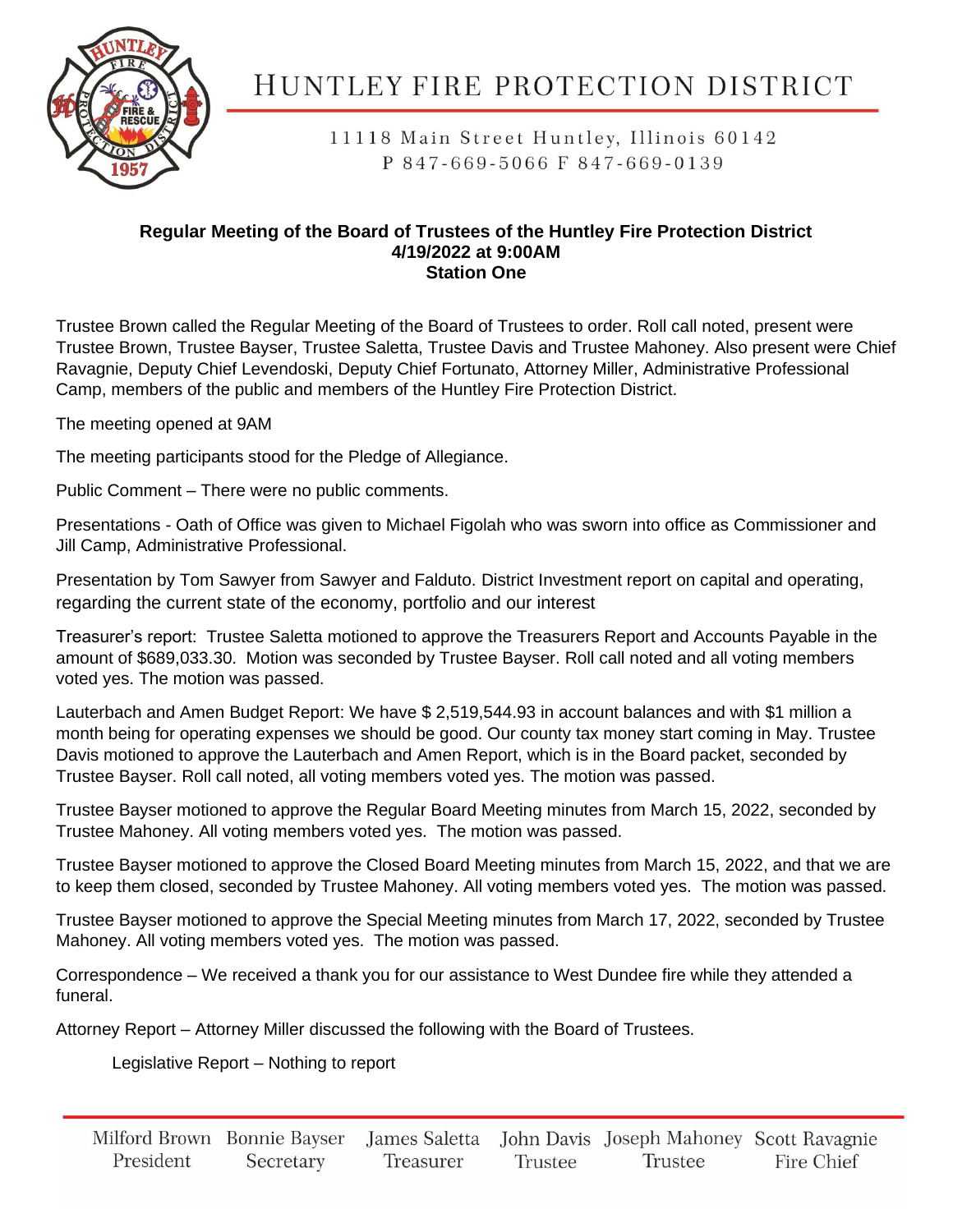

11118 Main Street Huntley, Illinois 60142 P 847-669-5066 F 847-669-0139

#### **Regular Meeting of the Board of Trustees of the Huntley Fire Protection District 4/19/2022 at 9:00AM Station One**

Trustee Brown called the Regular Meeting of the Board of Trustees to order. Roll call noted, present were Trustee Brown, Trustee Bayser, Trustee Saletta, Trustee Davis and Trustee Mahoney. Also present were Chief Ravagnie, Deputy Chief Levendoski, Deputy Chief Fortunato, Attorney Miller, Administrative Professional Camp, members of the public and members of the Huntley Fire Protection District.

The meeting opened at 9AM

The meeting participants stood for the Pledge of Allegiance.

Public Comment – There were no public comments.

Presentations - Oath of Office was given to Michael Figolah who was sworn into office as Commissioner and Jill Camp, Administrative Professional.

Presentation by Tom Sawyer from Sawyer and Falduto. District Investment report on capital and operating, regarding the current state of the economy, portfolio and our interest

Treasurer's report: Trustee Saletta motioned to approve the Treasurers Report and Accounts Payable in the amount of \$689,033.30. Motion was seconded by Trustee Bayser. Roll call noted and all voting members voted yes. The motion was passed.

Lauterbach and Amen Budget Report: We have \$ 2,519,544.93 in account balances and with \$1 million a month being for operating expenses we should be good. Our county tax money start coming in May. Trustee Davis motioned to approve the Lauterbach and Amen Report, which is in the Board packet, seconded by Trustee Bayser. Roll call noted, all voting members voted yes. The motion was passed.

Trustee Bayser motioned to approve the Regular Board Meeting minutes from March 15, 2022, seconded by Trustee Mahoney. All voting members voted yes. The motion was passed.

Trustee Bayser motioned to approve the Closed Board Meeting minutes from March 15, 2022, and that we are to keep them closed, seconded by Trustee Mahoney. All voting members voted yes. The motion was passed.

Trustee Bayser motioned to approve the Special Meeting minutes from March 17, 2022, seconded by Trustee Mahoney. All voting members voted yes. The motion was passed.

Correspondence – We received a thank you for our assistance to West Dundee fire while they attended a funeral.

Attorney Report – Attorney Miller discussed the following with the Board of Trustees.

Legislative Report – Nothing to report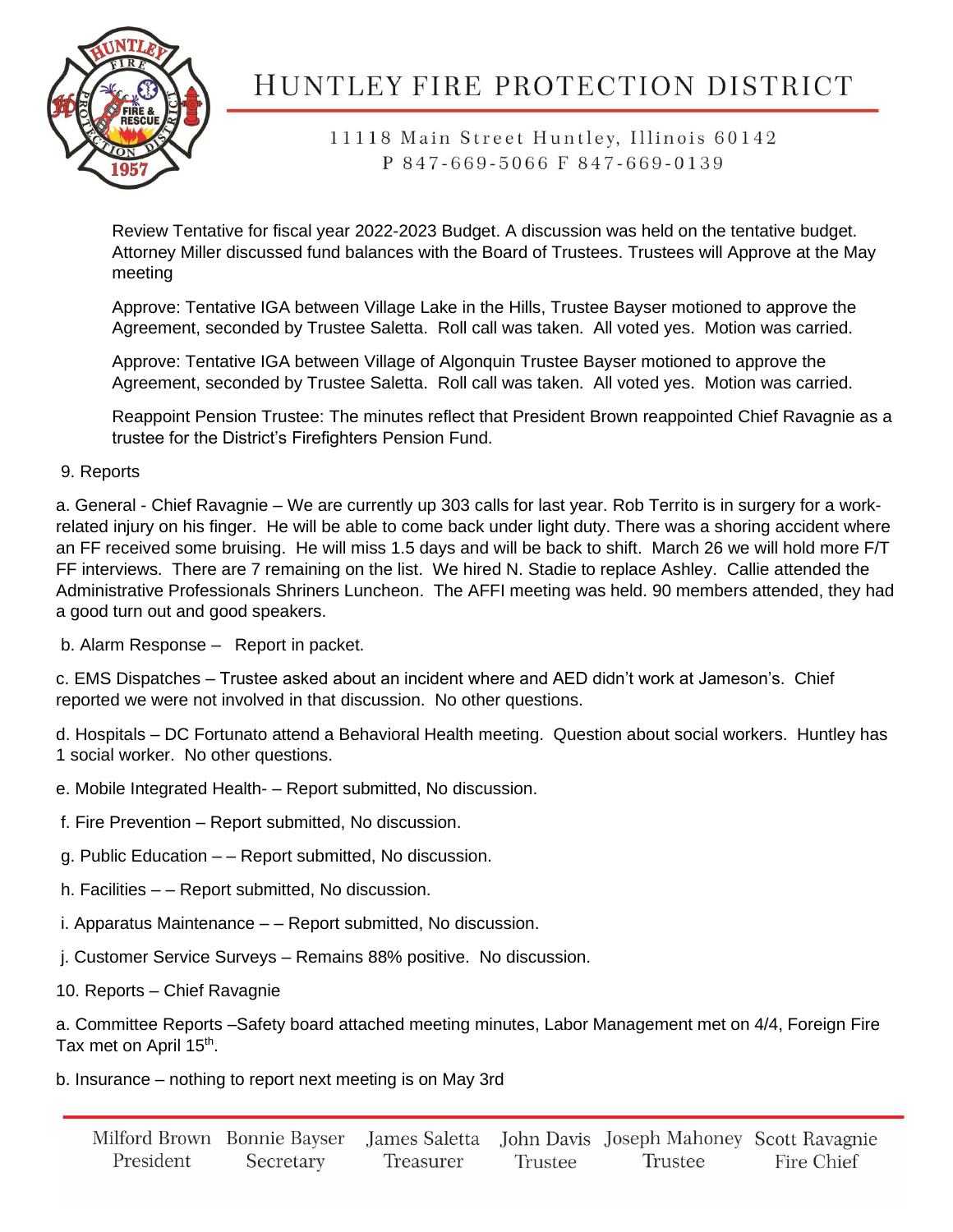

## 11118 Main Street Huntley, Illinois 60142 P 847-669-5066 F 847-669-0139

Review Tentative for fiscal year 2022-2023 Budget. A discussion was held on the tentative budget. Attorney Miller discussed fund balances with the Board of Trustees. Trustees will Approve at the May meeting

Approve: Tentative IGA between Village Lake in the Hills, Trustee Bayser motioned to approve the Agreement, seconded by Trustee Saletta. Roll call was taken. All voted yes. Motion was carried.

Approve: Tentative IGA between Village of Algonquin Trustee Bayser motioned to approve the Agreement, seconded by Trustee Saletta. Roll call was taken. All voted yes. Motion was carried.

Reappoint Pension Trustee: The minutes reflect that President Brown reappointed Chief Ravagnie as a trustee for the District's Firefighters Pension Fund.

### 9. Reports

a. General - Chief Ravagnie – We are currently up 303 calls for last year. Rob Territo is in surgery for a workrelated injury on his finger. He will be able to come back under light duty. There was a shoring accident where an FF received some bruising. He will miss 1.5 days and will be back to shift. March 26 we will hold more F/T FF interviews. There are 7 remaining on the list. We hired N. Stadie to replace Ashley. Callie attended the Administrative Professionals Shriners Luncheon. The AFFI meeting was held. 90 members attended, they had a good turn out and good speakers.

b. Alarm Response – Report in packet.

c. EMS Dispatches – Trustee asked about an incident where and AED didn't work at Jameson's. Chief reported we were not involved in that discussion. No other questions.

d. Hospitals – DC Fortunato attend a Behavioral Health meeting. Question about social workers. Huntley has 1 social worker. No other questions.

- e. Mobile Integrated Health- Report submitted, No discussion.
- f. Fire Prevention Report submitted, No discussion.
- g. Public Education – Report submitted, No discussion.
- h. Facilities – Report submitted, No discussion.
- i. Apparatus Maintenance – Report submitted, No discussion.
- j. Customer Service Surveys Remains 88% positive. No discussion.
- 10. Reports Chief Ravagnie

a. Committee Reports –Safety board attached meeting minutes, Labor Management met on 4/4, Foreign Fire Tax met on April 15<sup>th</sup>.

b. Insurance – nothing to report next meeting is on May 3rd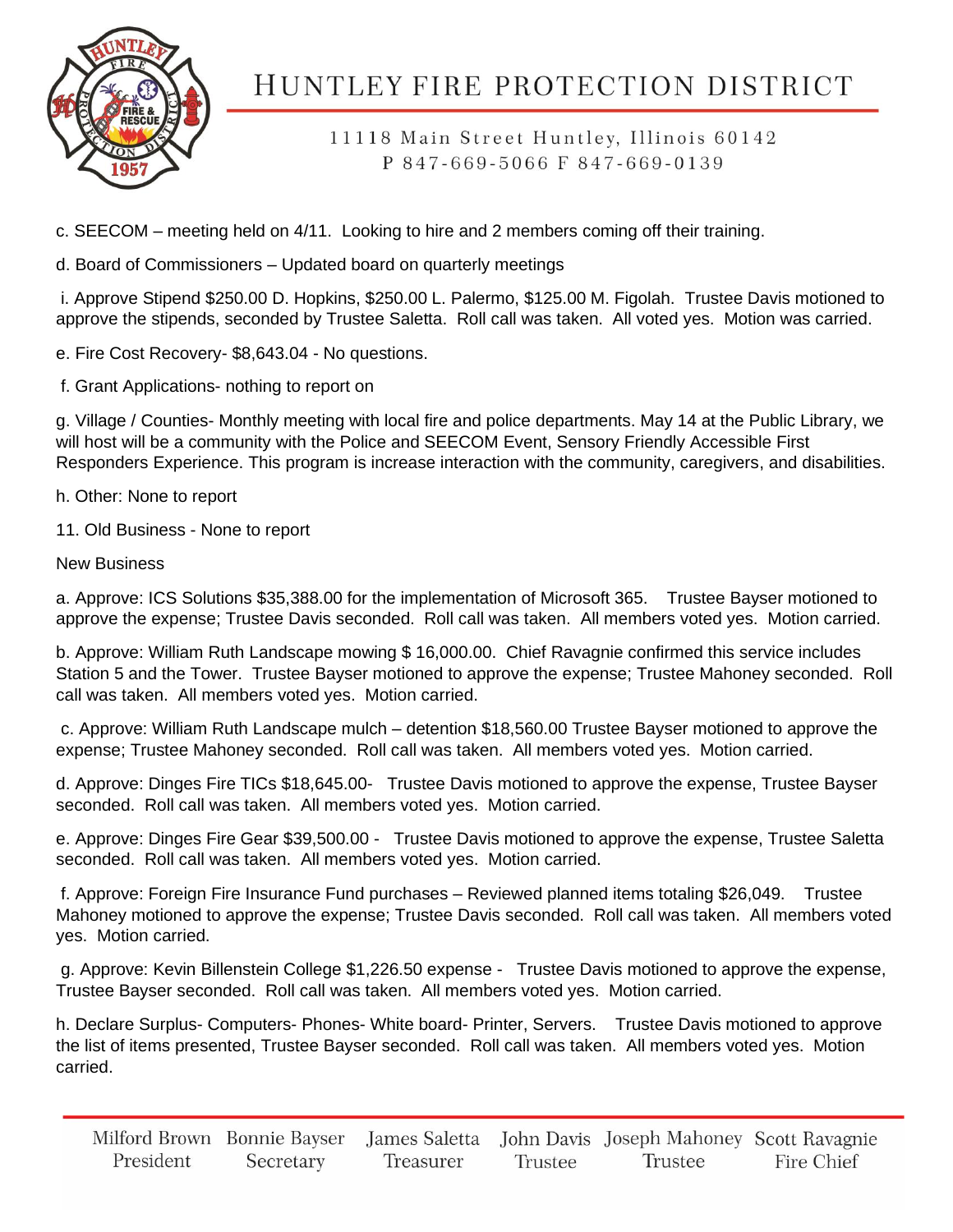

11118 Main Street Huntley, Illinois 60142 P 847-669-5066 F 847-669-0139

c. SEECOM – meeting held on 4/11. Looking to hire and 2 members coming off their training.

d. Board of Commissioners – Updated board on quarterly meetings

i. Approve Stipend \$250.00 D. Hopkins, \$250.00 L. Palermo, \$125.00 M. Figolah. Trustee Davis motioned to approve the stipends, seconded by Trustee Saletta. Roll call was taken. All voted yes. Motion was carried.

e. Fire Cost Recovery- \$8,643.04 - No questions.

f. Grant Applications- nothing to report on

g. Village / Counties- Monthly meeting with local fire and police departments. May 14 at the Public Library, we will host will be a community with the Police and SEECOM Event, Sensory Friendly Accessible First Responders Experience. This program is increase interaction with the community, caregivers, and disabilities.

h. Other: None to report

11. Old Business - None to report

New Business

a. Approve: ICS Solutions \$35,388.00 for the implementation of Microsoft 365. Trustee Bayser motioned to approve the expense; Trustee Davis seconded. Roll call was taken. All members voted yes. Motion carried.

b. Approve: William Ruth Landscape mowing \$ 16,000.00. Chief Ravagnie confirmed this service includes Station 5 and the Tower. Trustee Bayser motioned to approve the expense; Trustee Mahoney seconded. Roll call was taken. All members voted yes. Motion carried.

c. Approve: William Ruth Landscape mulch – detention \$18,560.00 Trustee Bayser motioned to approve the expense; Trustee Mahoney seconded. Roll call was taken. All members voted yes. Motion carried.

d. Approve: Dinges Fire TICs \$18,645.00- Trustee Davis motioned to approve the expense, Trustee Bayser seconded. Roll call was taken. All members voted yes. Motion carried.

e. Approve: Dinges Fire Gear \$39,500.00 - Trustee Davis motioned to approve the expense, Trustee Saletta seconded. Roll call was taken. All members voted yes. Motion carried.

f. Approve: Foreign Fire Insurance Fund purchases – Reviewed planned items totaling \$26,049. Trustee Mahoney motioned to approve the expense; Trustee Davis seconded. Roll call was taken. All members voted yes. Motion carried.

g. Approve: Kevin Billenstein College \$1,226.50 expense - Trustee Davis motioned to approve the expense, Trustee Bayser seconded. Roll call was taken. All members voted yes. Motion carried.

h. Declare Surplus- Computers- Phones- White board- Printer, Servers. Trustee Davis motioned to approve the list of items presented, Trustee Bayser seconded. Roll call was taken. All members voted yes. Motion carried.